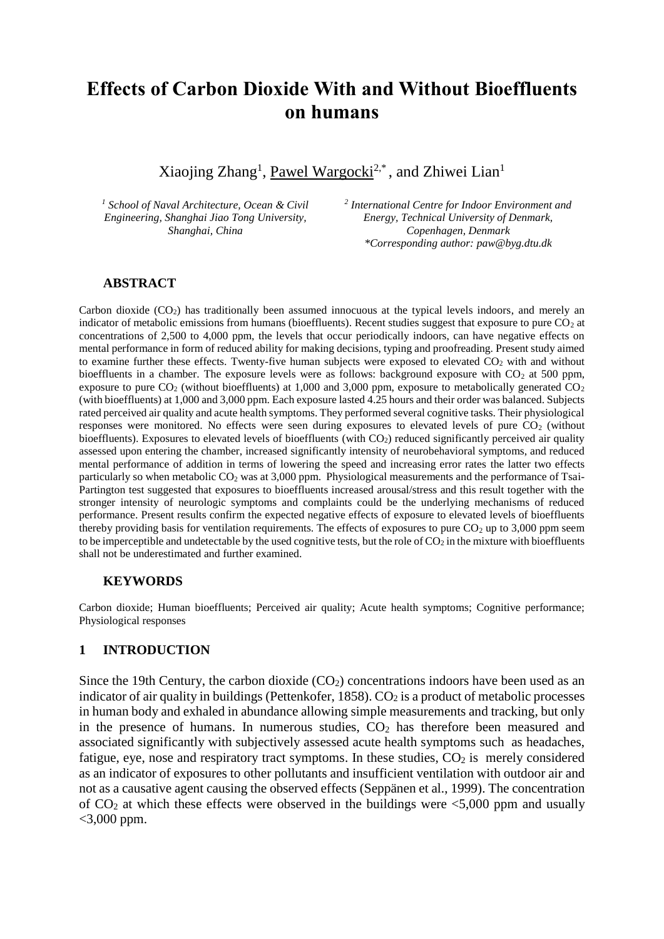# **Effects of Carbon Dioxide With and Without Bioeffluents on humans**

Xiaojing Zhang<sup>1</sup>, Pawel Wargocki<sup>2,\*</sup>, and Zhiwei Lian<sup>1</sup>

*<sup>1</sup> School of Naval Architecture, Ocean & Civil Engineering, Shanghai Jiao Tong University, Shanghai, China*

*2 International Centre for Indoor Environment and Energy, Technical University of Denmark, Copenhagen, Denmark \*Corresponding author: [paw@byg.dtu.dk](mailto:paw@byg.dtu.dk)*

# **ABSTRACT**

Carbon dioxide  $(CO_2)$  has traditionally been assumed innocuous at the typical levels indoors, and merely an indicator of metabolic emissions from humans (bioeffluents). Recent studies suggest that exposure to pure  $CO<sub>2</sub>$  at concentrations of 2,500 to 4,000 ppm, the levels that occur periodically indoors, can have negative effects on mental performance in form of reduced ability for making decisions, typing and proofreading. Present study aimed to examine further these effects. Twenty-five human subjects were exposed to elevated  $CO<sub>2</sub>$  with and without bioeffluents in a chamber. The exposure levels were as follows: background exposure with  $CO<sub>2</sub>$  at 500 ppm, exposure to pure  $CO<sub>2</sub>$  (without bioeffluents) at 1,000 and 3,000 ppm, exposure to metabolically generated  $CO<sub>2</sub>$ (with bioeffluents) at 1,000 and 3,000 ppm. Each exposure lasted 4.25 hours and their order was balanced. Subjects rated perceived air quality and acute health symptoms. They performed several cognitive tasks. Their physiological responses were monitored. No effects were seen during exposures to elevated levels of pure  $CO<sub>2</sub>$  (without bioeffluents). Exposures to elevated levels of bioeffluents (with CO<sub>2</sub>) reduced significantly perceived air quality assessed upon entering the chamber, increased significantly intensity of neurobehavioral symptoms, and reduced mental performance of addition in terms of lowering the speed and increasing error rates the latter two effects particularly so when metabolic CO<sub>2</sub> was at 3,000 ppm. Physiological measurements and the performance of Tsai-Partington test suggested that exposures to bioeffluents increased arousal/stress and this result together with the stronger intensity of neurologic symptoms and complaints could be the underlying mechanisms of reduced performance. Present results confirm the expected negative effects of exposure to elevated levels of bioeffluents thereby providing basis for ventilation requirements. The effects of exposures to pure  $CO<sub>2</sub>$  up to 3,000 ppm seem to be imperceptible and undetectable by the used cognitive tests, but the role of  $CO<sub>2</sub>$  in the mixture with bioeffluents shall not be underestimated and further examined.

## **KEYWORDS**

Carbon dioxide; Human bioeffluents; Perceived air quality; Acute health symptoms; Cognitive performance; Physiological responses

## **1 INTRODUCTION**

Since the 19th Century, the carbon dioxide  $(CO<sub>2</sub>)$  concentrations indoors have been used as an indicator of air quality in buildings (Pettenkofer, 1858).  $CO<sub>2</sub>$  is a product of metabolic processes in human body and exhaled in abundance allowing simple measurements and tracking, but only in the presence of humans. In numerous studies,  $CO<sub>2</sub>$  has therefore been measured and associated significantly with subjectively assessed acute health symptoms such as headaches, fatigue, eye, nose and respiratory tract symptoms. In these studies,  $CO<sub>2</sub>$  is merely considered as an indicator of exposures to other pollutants and insufficient ventilation with outdoor air and not as a causative agent causing the observed effects (Seppänen et al., 1999). The concentration of  $CO<sub>2</sub>$  at which these effects were observed in the buildings were  $\lt 5,000$  ppm and usually <3,000 ppm.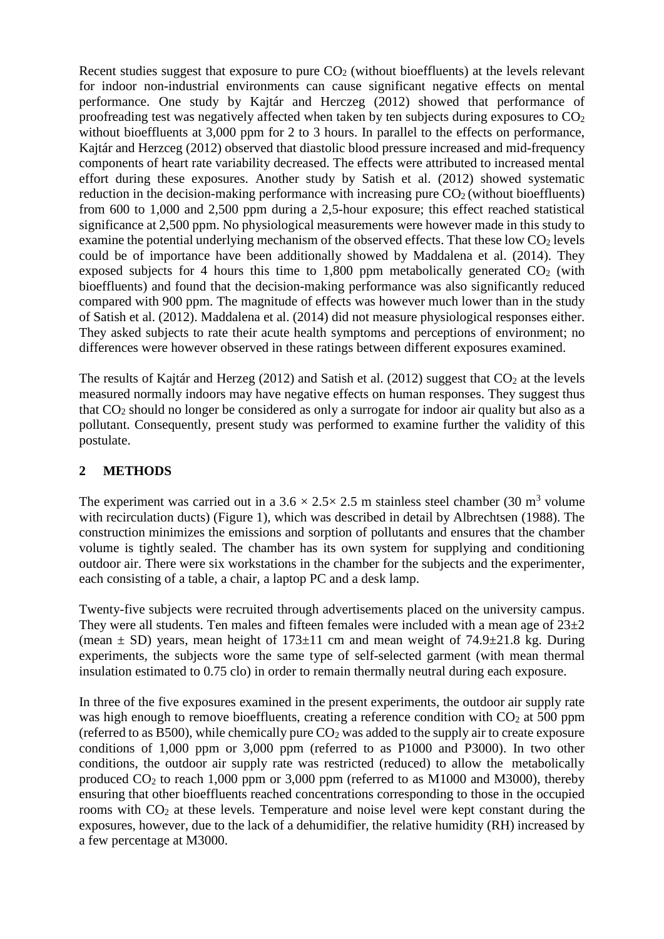Recent studies suggest that exposure to pure  $CO<sub>2</sub>$  (without bioeffluents) at the levels relevant for indoor non-industrial environments can cause significant negative effects on mental performance. One study by Kajtár and Herczeg (2012) showed that performance of proofreading test was negatively affected when taken by ten subjects during exposures to  $CO<sub>2</sub>$ without bioeffluents at 3,000 ppm for 2 to 3 hours. In parallel to the effects on performance, Kajtár and Herzceg (2012) observed that diastolic blood pressure increased and mid-frequency components of heart rate variability decreased. The effects were attributed to increased mental effort during these exposures. Another study by Satish et al. (2012) showed systematic reduction in the decision-making performance with increasing pure  $CO<sub>2</sub>$  (without bioeffluents) from 600 to 1,000 and 2,500 ppm during a 2,5-hour exposure; this effect reached statistical significance at 2,500 ppm. No physiological measurements were however made in this study to examine the potential underlying mechanism of the observed effects. That these low  $CO<sub>2</sub>$  levels could be of importance have been additionally showed by Maddalena et al. (2014). They exposed subjects for 4 hours this time to  $1,800$  ppm metabolically generated  $CO<sub>2</sub>$  (with bioeffluents) and found that the decision-making performance was also significantly reduced compared with 900 ppm. The magnitude of effects was however much lower than in the study of Satish et al. (2012). Maddalena et al. (2014) did not measure physiological responses either. They asked subjects to rate their acute health symptoms and perceptions of environment; no differences were however observed in these ratings between different exposures examined.

The results of Kajtár and Herzeg (2012) and Satish et al. (2012) suggest that  $CO<sub>2</sub>$  at the levels measured normally indoors may have negative effects on human responses. They suggest thus that  $CO<sub>2</sub>$  should no longer be considered as only a surrogate for indoor air quality but also as a pollutant. Consequently, present study was performed to examine further the validity of this postulate.

# **2 METHODS**

The experiment was carried out in a  $3.6 \times 2.5 \times 2.5$  m stainless steel chamber (30 m<sup>3</sup> volume with recirculation ducts) [\(Figure](#page-2-0) 1), which was described in detail by Albrechtsen (1988). The construction minimizes the emissions and sorption of pollutants and ensures that the chamber volume is tightly sealed. The chamber has its own system for supplying and conditioning outdoor air. There were six workstations in the chamber for the subjects and the experimenter, each consisting of a table, a chair, a laptop PC and a desk lamp.

Twenty-five subjects were recruited through advertisements placed on the university campus. They were all students. Ten males and fifteen females were included with a mean age of  $23\pm2$ (mean  $\pm$  SD) years, mean height of 173 $\pm$ 11 cm and mean weight of 74.9 $\pm$ 21.8 kg. During experiments, the subjects wore the same type of self-selected garment (with mean thermal insulation estimated to 0.75 clo) in order to remain thermally neutral during each exposure.

In three of the five exposures examined in the present experiments, the outdoor air supply rate was high enough to remove bioeffluents, creating a reference condition with  $CO<sub>2</sub>$  at 500 ppm (referred to as B500), while chemically pure  $CO<sub>2</sub>$  was added to the supply air to create exposure conditions of 1,000 ppm or 3,000 ppm (referred to as P1000 and P3000). In two other conditions, the outdoor air supply rate was restricted (reduced) to allow the metabolically produced  $CO<sub>2</sub>$  to reach 1,000 ppm or 3,000 ppm (referred to as M1000 and M3000), thereby ensuring that other bioeffluents reached concentrations corresponding to those in the occupied rooms with  $CO<sub>2</sub>$  at these levels. Temperature and noise level were kept constant during the exposures, however, due to the lack of a dehumidifier, the relative humidity (RH) increased by a few percentage at M3000.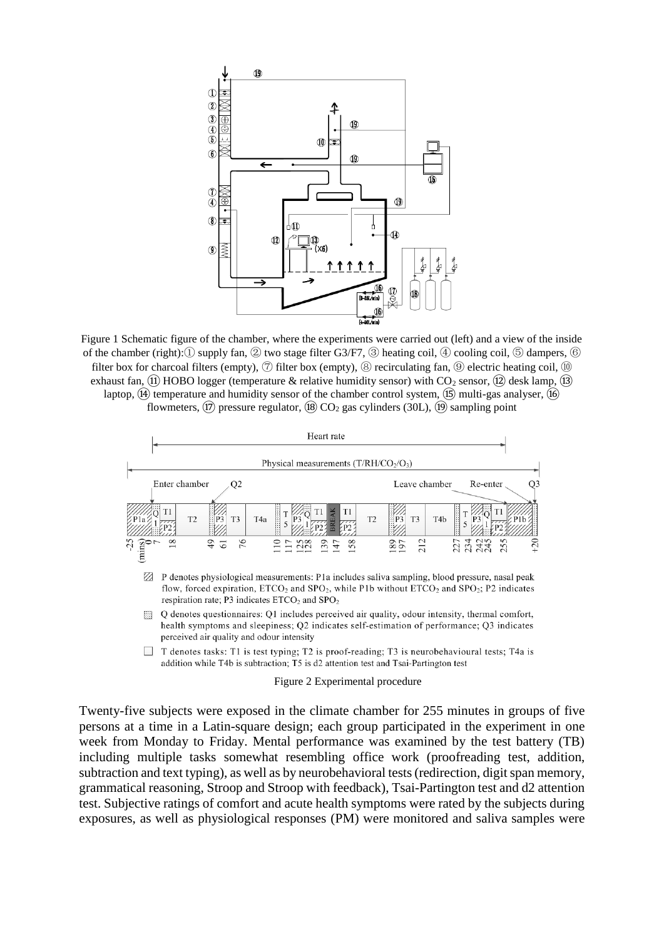

<span id="page-2-0"></span>Figure 1 Schematic figure of the chamber, where the experiments were carried out (left) and a view of the inside of the chamber (right):① supply fan, ② two stage filter G3/F7, ③ heating coil, ④ cooling coil, ⑤ dampers, ⑥ filter box for charcoal filters (empty), ⑦ filter box (empty), ⑧ recirculating fan, ⑨ electric heating coil, ⑩ exhaust fan,  $\widehat{u}$  HOBO logger (temperature & relative humidity sensor) with CO<sub>2</sub> sensor,  $\widehat{u}$  desk lamp,  $\widehat{u}$ laptop,  $\Omega$  temperature and humidity sensor of the chamber control system,  $\Omega$  multi-gas analyser,  $\Omega$ flowmeters,  $(\overline{17})$  pressure regulator,  $(\overline{18})$  CO<sub>2</sub> gas cylinders (30L),  $(\overline{19})$  sampling point



- P denotes physiological measurements: P1a includes saliva sampling, blood pressure, nasal peak Ø flow, forced expiration, ETCO<sub>2</sub> and SPO<sub>2</sub>, while P1b without ETCO<sub>2</sub> and SPO<sub>2</sub>; P2 indicates respiration rate; P3 indicates  $ETCO<sub>2</sub>$  and  $SPO<sub>2</sub>$
- Q denotes questionnaires: Q1 includes perceived air quality, odour intensity, thermal comfort, ▒ health symptoms and sleepiness; Q2 indicates self-estimation of performance; Q3 indicates perceived air quality and odour intensity
- $\Box$ T denotes tasks: T1 is test typing; T2 is proof-reading; T3 is neurobehavioural tests; T4a is addition while T4b is subtraction; T5 is d2 attention test and Tsai-Partington test

#### Figure 2 Experimental procedure

Twenty-five subjects were exposed in the climate chamber for 255 minutes in groups of five persons at a time in a Latin-square design; each group participated in the experiment in one week from Monday to Friday. Mental performance was examined by the test battery (TB) including multiple tasks somewhat resembling office work (proofreading test, addition, subtraction and text typing), as well as by neurobehavioral tests(redirection, digit span memory, grammatical reasoning, Stroop and Stroop with feedback), Tsai-Partington test and d2 attention test. Subjective ratings of comfort and acute health symptoms were rated by the subjects during exposures, as well as physiological responses (PM) were monitored and saliva samples were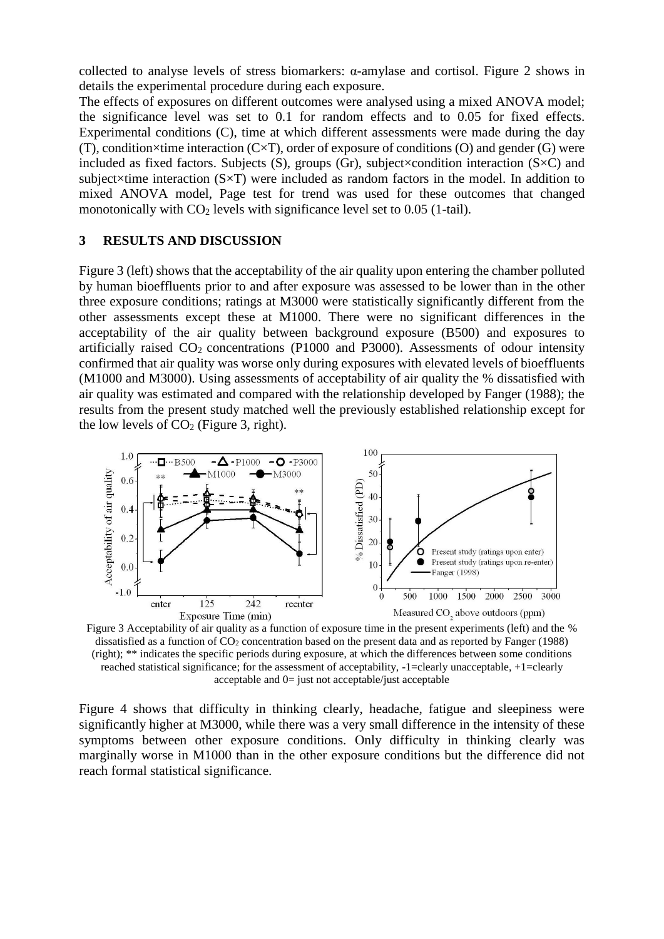collected to analyse levels of stress biomarkers: α-amylase and cortisol. Figure 2 shows in details the experimental procedure during each exposure.

The effects of exposures on different outcomes were analysed using a mixed ANOVA model; the significance level was set to 0.1 for random effects and to 0.05 for fixed effects. Experimental conditions (C), time at which different assessments were made during the day (T), condition×time interaction (C×T), order of exposure of conditions (O) and gender (G) were included as fixed factors. Subjects  $(S)$ , groups  $(Gr)$ , subject×condition interaction  $(S \times C)$  and subject $\times$ time interaction (S $\times$ T) were included as random factors in the model. In addition to mixed ANOVA model, Page test for trend was used for these outcomes that changed monotonically with  $CO<sub>2</sub>$  levels with significance level set to 0.05 (1-tail).

# **3 RESULTS AND DISCUSSION**

Figure 3 (left) shows that the acceptability of the air quality upon entering the chamber polluted by human bioeffluents prior to and after exposure was assessed to be lower than in the other three exposure conditions; ratings at M3000 were statistically significantly different from the other assessments except these at M1000. There were no significant differences in the acceptability of the air quality between background exposure (B500) and exposures to artificially raised  $CO<sub>2</sub>$  concentrations (P1000 and P3000). Assessments of odour intensity confirmed that air quality was worse only during exposures with elevated levels of bioeffluents (M1000 and M3000). Using assessments of acceptability of air quality the % dissatisfied with air quality was estimated and compared with the relationship developed by Fanger (1988); the results from the present study matched well the previously established relationship except for the low levels of  $CO<sub>2</sub>$  (Figure 3, right).



Figure 3 Acceptability of air quality as a function of exposure time in the present experiments (left) and the % dissatisfied as a function of  $CO<sub>2</sub>$  concentration based on the present data and as reported by Fanger (1988) (right); \*\* indicates the specific periods during exposure, at which the differences between some conditions reached statistical significance; for the assessment of acceptability, -1=clearly unacceptable, +1=clearly acceptable and 0= just not acceptable/just acceptable

Figure 4 shows that difficulty in thinking clearly, headache, fatigue and sleepiness were significantly higher at M3000, while there was a very small difference in the intensity of these symptoms between other exposure conditions. Only difficulty in thinking clearly was marginally worse in M1000 than in the other exposure conditions but the difference did not reach formal statistical significance.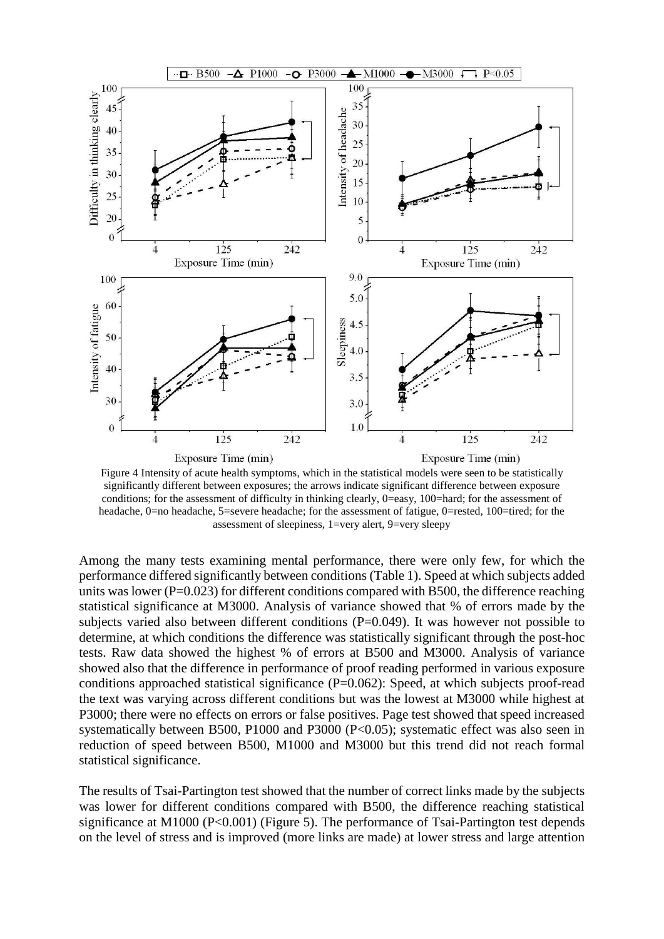

Figure 4 Intensity of acute health symptoms, which in the statistical models were seen to be statistically significantly different between exposures; the arrows indicate significant difference between exposure conditions; for the assessment of difficulty in thinking clearly, 0=easy, 100=hard; for the assessment of headache, 0=no headache, 5=severe headache; for the assessment of fatigue, 0=rested, 100=tired; for the assessment of sleepiness, 1=very alert, 9=very sleepy

Among the many tests examining mental performance, there were only few, for which the performance differed significantly between conditions (Table 1). Speed at which subjects added units was lower ( $P=0.023$ ) for different conditions compared with B500, the difference reaching statistical significance at M3000. Analysis of variance showed that % of errors made by the subjects varied also between different conditions  $(P=0.049)$ . It was however not possible to determine, at which conditions the difference was statistically significant through the post-hoc tests. Raw data showed the highest % of errors at B500 and M3000. Analysis of variance showed also that the difference in performance of proof reading performed in various exposure conditions approached statistical significance (P=0.062): Speed, at which subjects proof-read the text was varying across different conditions but was the lowest at M3000 while highest at P3000; there were no effects on errors or false positives. Page test showed that speed increased systematically between B500, P1000 and P3000 (P<0.05); systematic effect was also seen in reduction of speed between B500, M1000 and M3000 but this trend did not reach formal statistical significance.

The results of Tsai-Partington test showed that the number of correct links made by the subjects was lower for different conditions compared with B500, the difference reaching statistical significance at M1000 (P<0.001) (Figure 5). The performance of Tsai-Partington test depends on the level of stress and is improved (more links are made) at lower stress and large attention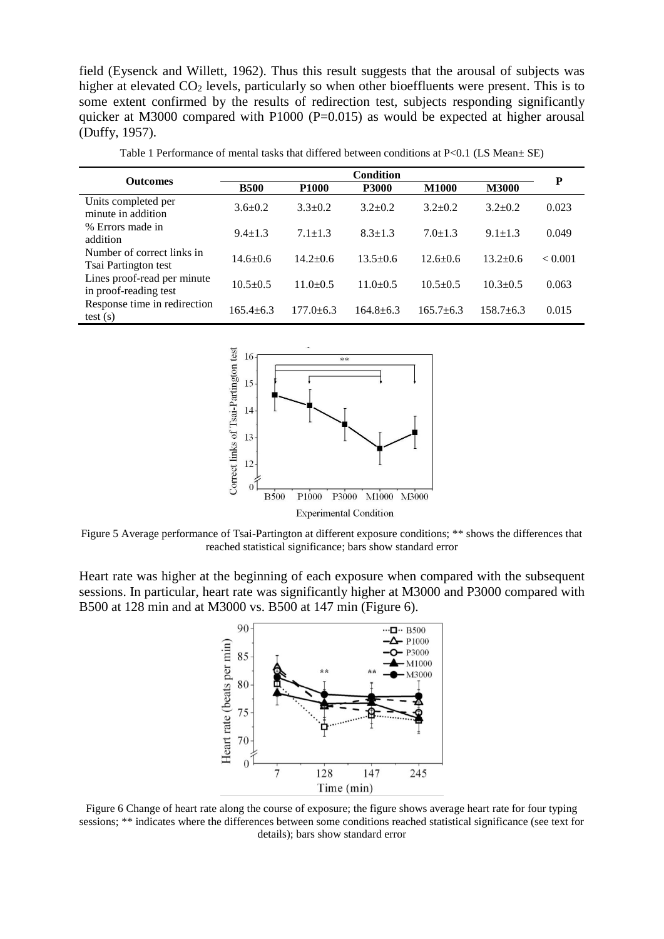field (Eysenck and Willett, 1962). Thus this result suggests that the arousal of subjects was higher at elevated CO<sub>2</sub> levels, particularly so when other bioeffluents were present. This is to some extent confirmed by the results of redirection test, subjects responding significantly quicker at M3000 compared with P1000 (P=0.015) as would be expected at higher arousal (Duffy, 1957).

| <b>Outcomes</b>                                      | <b>Condition</b> |              |                |                |               |         |
|------------------------------------------------------|------------------|--------------|----------------|----------------|---------------|---------|
|                                                      | <b>B500</b>      | <b>P1000</b> | <b>P3000</b>   | <b>M1000</b>   | <b>M3000</b>  | P       |
| Units completed per<br>minute in addition            | $3.6 + 0.2$      | $3.3 + 0.2$  | $3.2+0.2$      | $3.2+0.2$      | $3.2 + 0.2$   | 0.023   |
| % Errors made in<br>addition                         | $9.4 + 1.3$      | $7.1 + 1.3$  | $8.3 + 1.3$    | $7.0 + 1.3$    | $9.1 \pm 1.3$ | 0.049   |
| Number of correct links in<br>Tsai Partington test   | $14.6 \pm 0.6$   | $14.2 + 0.6$ | $13.5 \pm 0.6$ | $12.6 \pm 0.6$ | $13.2 + 0.6$  | < 0.001 |
| Lines proof-read per minute<br>in proof-reading test | $10.5+0.5$       | $11.0+0.5$   | $11.0+0.5$     | $10.5+0.5$     | $10.3 + 0.5$  | 0.063   |
| Response time in redirection<br>test(s)              | $165.4 + 6.3$    | 177.0+6.3    | $164.8 + 6.3$  | $165.7 + 6.3$  | $158.7 + 6.3$ | 0.015   |

Table 1 Performance of mental tasks that differed between conditions at P<0.1 (LS Mean $\pm$  SE)



Figure 5 Average performance of Tsai-Partington at different exposure conditions; \*\* shows the differences that reached statistical significance; bars show standard error

Heart rate was higher at the beginning of each exposure when compared with the subsequent sessions. In particular, heart rate was significantly higher at M3000 and P3000 compared with B500 at 128 min and at M3000 vs. B500 at 147 min (Figure 6).



Figure 6 Change of heart rate along the course of exposure; the figure shows average heart rate for four typing sessions; \*\* indicates where the differences between some conditions reached statistical significance (see text for details); bars show standard error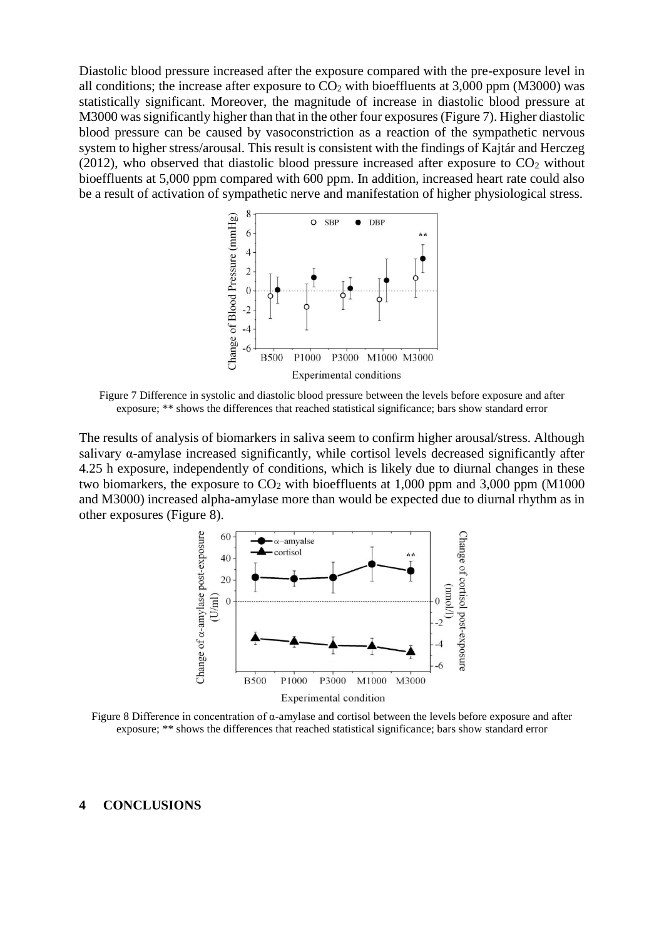Diastolic blood pressure increased after the exposure compared with the pre-exposure level in all conditions; the increase after exposure to  $CO<sub>2</sub>$  with bioeffluents at 3,000 ppm (M3000) was statistically significant. Moreover, the magnitude of increase in diastolic blood pressure at M3000 was significantly higher than that in the other four exposures (Figure 7). Higher diastolic blood pressure can be caused by vasoconstriction as a reaction of the sympathetic nervous system to higher stress/arousal. This result is consistent with the findings of Kajtár and Herczeg (2012), who observed that diastolic blood pressure increased after exposure to  $CO<sub>2</sub>$  without bioeffluents at 5,000 ppm compared with 600 ppm. In addition, increased heart rate could also be a result of activation of sympathetic nerve and manifestation of higher physiological stress.



Figure 7 Difference in systolic and diastolic blood pressure between the levels before exposure and after exposure; \*\* shows the differences that reached statistical significance; bars show standard error

The results of analysis of biomarkers in saliva seem to confirm higher arousal/stress. Although salivary α-amylase increased significantly, while cortisol levels decreased significantly after 4.25 h exposure, independently of conditions, which is likely due to diurnal changes in these two biomarkers, the exposure to  $CO<sub>2</sub>$  with bioeffluents at 1,000 ppm and 3,000 ppm (M1000) and M3000) increased alpha-amylase more than would be expected due to diurnal rhythm as in other exposures (Figure 8).



Figure 8 Difference in concentration of α-amylase and cortisol between the levels before exposure and after exposure; \*\* shows the differences that reached statistical significance; bars show standard error

### **4 CONCLUSIONS**